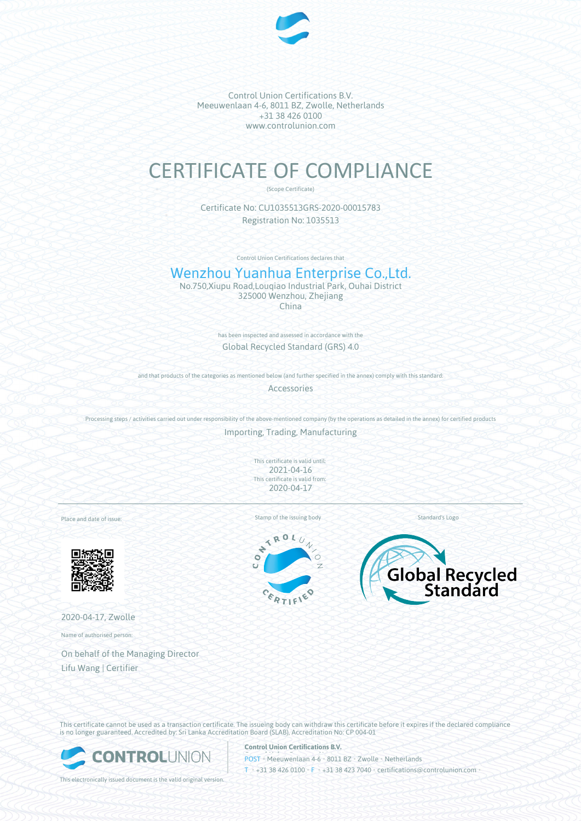

Control Union Certifications B.V. Meeuwenlaan 4-6, 8011 BZ, Zwolle, Netherlands +31 38 426 0100 www.controlunion.com

# CERTIFICATE OF COMPLIANCE

(Scope Certificate)

Certificate No: CU1035513GRS-2020-00015783 Registration No: 1035513

Control Union Certifications declares that

# Wenzhou Yuanhua Enterprise Co.,Ltd.

No.750,Xiupu Road,Louqiao Industrial Park, Ouhai District 325000 Wenzhou, Zhejiang China

> has been inspected and assessed in accordance with the Global Recycled Standard (GRS) 4.0

and that products of the categories as mentioned below (and further specified in the annex) comply with this standard:

Accessories

Processing steps / activities carried out under responsibility of the above-mentioned company (by the operations as detailed in the annex) for certified products

Importing, Trading, Manufacturing

This certificate is valid until: 2021-04-16 This certificate is valid from: 2020-04-17

Place and date of issue:



2020-04-17, Zwolle Name of authorised person:

On behalf of the Managing Director Lifu Wang | Certifier

Stamp of the issuing body Standard's Logo

ROL  $\overline{\phantom{a}}$ ÷  $\bullet$ c





This certificate cannot be used as a transaction certificate. The issueing body can withdraw this certificate before it expires if the declared compliance is no longer guaranteed. Accredited by: Sri Lanka Accreditation Board (SLAB), Accreditation No: CP 004-01



This electronically issued document is the valid original version.

**Control Union Certifications B.V.**

POST • Meeuwenlaan 4-6 • 8011 BZ • Zwolle • Netherlands T • +31 38 426 0100 • F • +31 38 423 7040 • certifications@controlunion.com •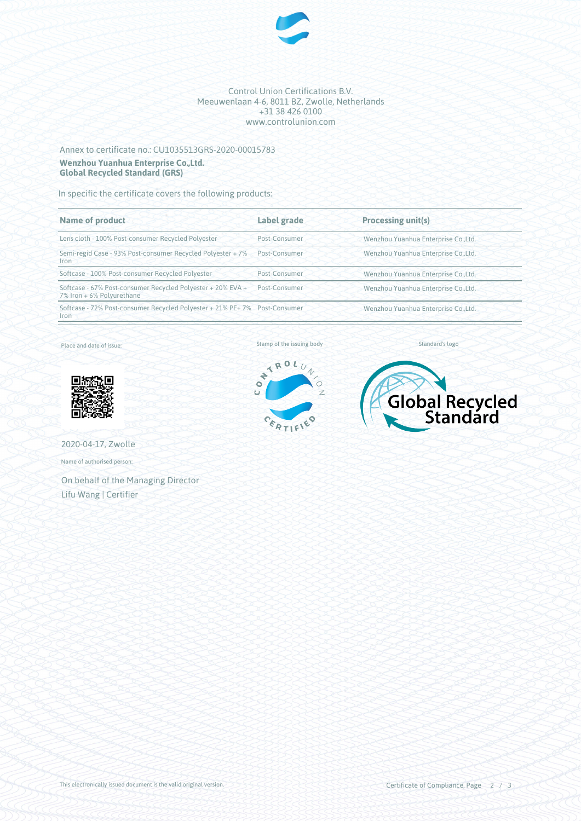

#### Control Union Certifications B.V. Meeuwenlaan 4-6, 8011 BZ, Zwolle, Netherlands +31 38 426 0100 www.controlunion.com

## Annex to certificate no.: CU1035513GRS-2020-00015783 **Wenzhou Yuanhua Enterprise Co.,Ltd. Global Recycled Standard (GRS)**

In specific the certificate covers the following products:

| <b>Name of product</b>                                                                   | Label grade   | Processing unit(s)                   |
|------------------------------------------------------------------------------------------|---------------|--------------------------------------|
| Lens cloth - 100% Post-consumer Recycled Polyester                                       | Post-Consumer | Wenzhou Yuanhua Enterprise Co., Ltd. |
| Semi-regid Case - 93% Post-consumer Recycled Polyester + 7%<br><b>Iron</b>               | Post-Consumer | Wenzhou Yuanhua Enterprise Co., Ltd. |
| Softcase - 100% Post-consumer Recycled Polyester                                         | Post-Consumer | Wenzhou Yuanhua Enterprise Co., Ltd. |
| Softcase - 67% Post-consumer Recycled Polyester + 20% EVA +<br>7% Iron + 6% Polyurethane | Post-Consumer | Wenzhou Yuanhua Enterprise Co., Ltd. |
| Softcase - 72% Post-consumer Recycled Polyester + 21% PE+ 7% Post-Consumer<br>Iron       |               | Wenzhou Yuanhua Enterprise Co., Ltd. |

Place and date of issue:



2020-04-17, Zwolle

Name of authorised person:

On behalf of the Managing Director Lifu Wang | Certifier